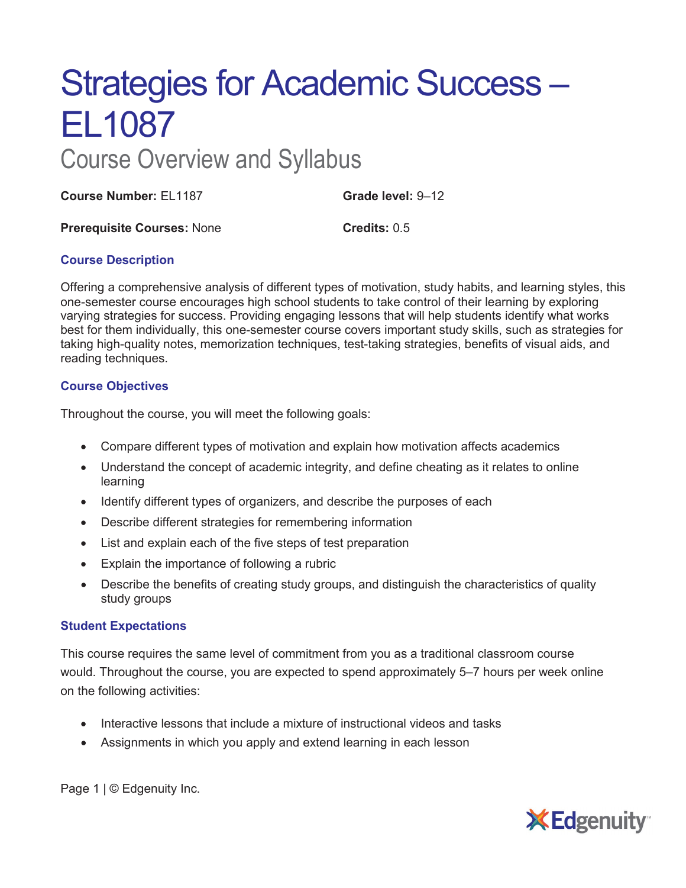# Strategies for Academic Success – EL1087

# Course Overview and Syllabus

**Course Number:** EL1187 **Grade level:** 9–12

**Prerequisite Courses: None <b>Credits:** 0.5

# **Course Description**

Offering a comprehensive analysis of different types of motivation, study habits, and learning styles, this one-semester course encourages high school students to take control of their learning by exploring varying strategies for success. Providing engaging lessons that will help students identify what works best for them individually, this one-semester course covers important study skills, such as strategies for taking high-quality notes, memorization techniques, test-taking strategies, benefits of visual aids, and reading techniques.

## **Course Objectives**

Throughout the course, you will meet the following goals:

- Compare different types of motivation and explain how motivation affects academics
- Understand the concept of academic integrity, and define cheating as it relates to online learning
- Identify different types of organizers, and describe the purposes of each
- Describe different strategies for remembering information
- List and explain each of the five steps of test preparation
- Explain the importance of following a rubric
- Describe the benefits of creating study groups, and distinguish the characteristics of quality study groups

#### **Student Expectations**

This course requires the same level of commitment from you as a traditional classroom course would. Throughout the course, you are expected to spend approximately 5–7 hours per week online on the following activities:

- Interactive lessons that include a mixture of instructional videos and tasks
- Assignments in which you apply and extend learning in each lesson

Page 1 | © Edgenuity Inc.